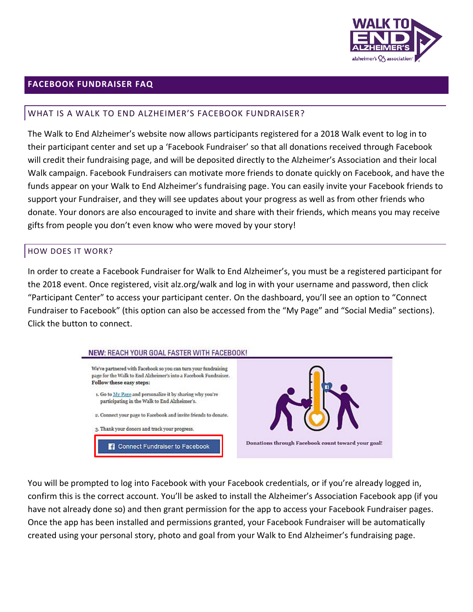

## **FACEBOOK FUNDRAISER FAQ**

#### WHAT IS A WALK TO END ALZHEIMER'S FACEBOOK FUNDRAISER?

The Walk to End Alzheimer's website now allows participants registered for a 2018 Walk event to log in to their participant center and set up a 'Facebook Fundraiser' so that all donations received through Facebook will credit their fundraising page, and will be deposited directly to the Alzheimer's Association and their local Walk campaign. Facebook Fundraisers can motivate more friends to donate quickly on Facebook, and have the funds appear on your Walk to End Alzheimer's fundraising page. You can easily invite your Facebook friends to support your Fundraiser, and they will see updates about your progress as well as from other friends who donate. Your donors are also encouraged to invite and share with their friends, which means you may receive gifts from people you don't even know who were moved by your story!

#### HOW DOES IT WORK?

In order to create a Facebook Fundraiser for Walk to End Alzheimer's, you must be a registered participant for the 2018 event. Once registered, visit alz.org/walk and log in with your username and password, then click "Participant Center" to access your participant center. On the dashboard, you'll see an option to "Connect Fundraiser to Facebook" (this option can also be accessed from the "My Page" and "Social Media" sections). Click the button to connect.



You will be prompted to log into Facebook with your Facebook credentials, or if you're already logged in, confirm this is the correct account. You'll be asked to install the Alzheimer's Association Facebook app (if you have not already done so) and then grant permission for the app to access your Facebook Fundraiser pages. Once the app has been installed and permissions granted, your Facebook Fundraiser will be automatically created using your personal story, photo and goal from your Walk to End Alzheimer's fundraising page.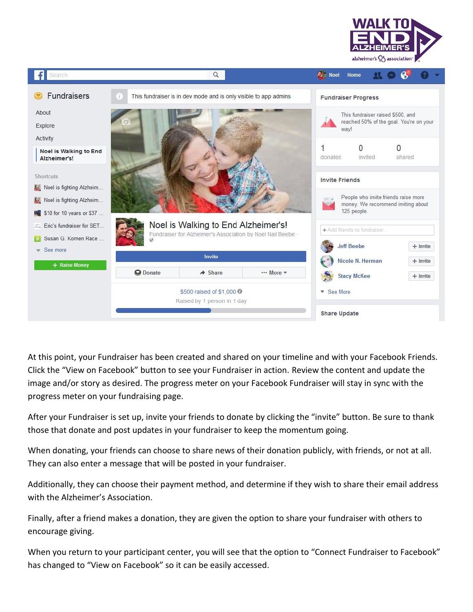



At this point, your Fundraiser has been created and shared on your timeline and with your Facebook Friends. Click the "View on Facebook" button to see your Fundraiser in action. Review the content and update the image and/or story as desired. The progress meter on your Facebook Fundraiser will stay in sync with the progress meter on your fundraising page.

After your Fundraiser is set up, invite your friends to donate by clicking the "invite" button. Be sure to thank those that donate and post updates in your fundraiser to keep the momentum going.

When donating, your friends can choose to share news of their donation publicly, with friends, or not at all. They can also enter a message that will be posted in your fundraiser.

Additionally, they can choose their payment method, and determine if they wish to share their email address with the Alzheimer's Association.

Finally, after a friend makes a donation, they are given the option to share your fundraiser with others to encourage giving.

When you return to your participant center, you will see that the option to "Connect Fundraiser to Facebook" has changed to "View on Facebook" so it can be easily accessed.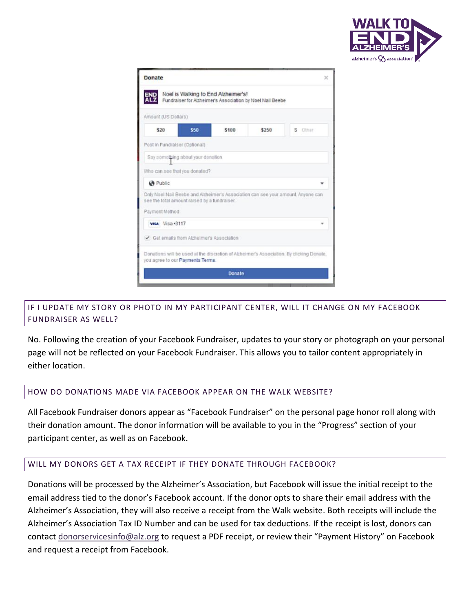

| Donate                                       |                                   |                                                                                                  |       | $\mathbf{x}$                                                                             |
|----------------------------------------------|-----------------------------------|--------------------------------------------------------------------------------------------------|-------|------------------------------------------------------------------------------------------|
|                                              |                                   | Noel is Walking to End Alzheimer's!<br>Fundraiser for Alzheimer's Association by Noel Nail Beebe |       |                                                                                          |
| Amount (US Dollars)                          |                                   |                                                                                                  |       |                                                                                          |
| \$20                                         | \$50                              | \$100                                                                                            | \$250 | S Other                                                                                  |
| Post in Fundraiser (Optional)                |                                   |                                                                                                  |       |                                                                                          |
|                                              | Say something about your denation |                                                                                                  |       |                                                                                          |
| Who can see that you donated?                |                                   |                                                                                                  |       |                                                                                          |
| <b>@</b> Public                              |                                   |                                                                                                  |       |                                                                                          |
| see the total amount raised by a fundraiser. |                                   |                                                                                                  |       | Only Noel Nail Beebe and Alzheimer's Association can see your amount. Anyone can         |
| Payment Method                               |                                   |                                                                                                  |       |                                                                                          |
| visa Visa +3117                              |                                   |                                                                                                  |       |                                                                                          |
| Get emails from Alzheimer's Association      |                                   |                                                                                                  |       |                                                                                          |
| you agree to our Payments Terms.             |                                   |                                                                                                  |       | Donations will be used at the discretion of Alzheimer's Association. By diicking Donate, |
|                                              |                                   | Donate                                                                                           |       |                                                                                          |
|                                              |                                   |                                                                                                  |       |                                                                                          |

# IF I UPDATE MY STORY OR PHOTO IN MY PARTICIPANT CENTER, WILL IT CHANGE ON MY FACEBOOK FUNDRAISER AS WELL?

No. Following the creation of your Facebook Fundraiser, updates to your story or photograph on your personal page will not be reflected on your Facebook Fundraiser. This allows you to tailor content appropriately in either location.

#### HOW DO DONATIONS MADE VIA FACEBOOK APPEAR ON THE WALK WEBSITE?

All Facebook Fundraiser donors appear as "Facebook Fundraiser" on the personal page honor roll along with their donation amount. The donor information will be available to you in the "Progress" section of your participant center, as well as on Facebook.

#### WILL MY DONORS GET A TAX RECEIPT IF THEY DONATE THROUGH FACEBOOK?

Donations will be processed by the Alzheimer's Association, but Facebook will issue the initial receipt to the email address tied to the donor's Facebook account. If the donor opts to share their email address with the Alzheimer's Association, they will also receive a receipt from the Walk website. Both receipts will include the Alzheimer's Association Tax ID Number and can be used for tax deductions. If the receipt is lost, donors can contact [donorservicesinfo@alz.org](file:///C:/Users/nbeebe/Desktop/donorservicesinfo@alz.org) to request a PDF receipt, or review their "Payment History" on Facebook and request a receipt from Facebook.